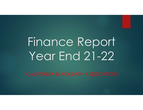## Finance Report Year End 21-22

CALIFORNIA BLACKSMITH ASSOCIATION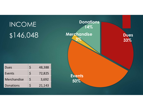## Dues  $\begin{vmatrix} 5 & 48,388 \end{vmatrix}$ Events  $\vert \xi \vert$  72,825 Merchandise  $\vert \xi \vert$  3,692 Donations  $\vert \xi \vert$  21,143 INCOME \$146,048 Merchandise Dues 33% Events 50% **Merchandise**  $3\%$  33 **Donations** 14%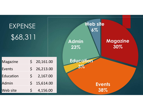| <b>EXPENSE</b><br>\$68,311 |             |           | Web site<br>$6\%$<br><b>Admin</b><br>23% | <b>Magazine</b><br>30% |
|----------------------------|-------------|-----------|------------------------------------------|------------------------|
| Magazine                   | $\zeta$     | 20,161.00 | <b>Education</b>                         |                        |
| Events                     | $\varsigma$ | 26,213.00 |                                          |                        |
| Education                  | $\varsigma$ | 2,167.00  |                                          |                        |
| Admin                      | $\varsigma$ | 15,614.00 |                                          | <b>Events</b>          |
| <b>Web site</b>            | $\varsigma$ | 4,156.00  |                                          | 38%                    |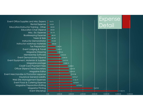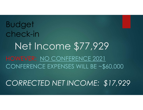## Net Income \$77,929 HOWEVER: NO CONFERENCE 2021 CONFERENCE EXPENSES WILL BE ~\$60,000 Budget check-in

CORRECTED NET INCOME: \$17,929